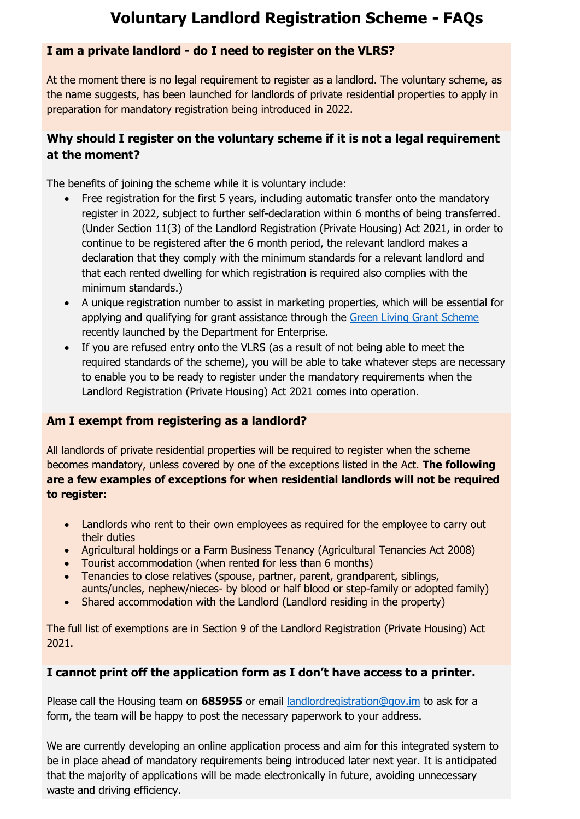# **Voluntary Landlord Registration Scheme - FAQs**

## **I am a private landlord - do I need to register on the VLRS?**

At the moment there is no legal requirement to register as a landlord. The voluntary scheme, as the name suggests, has been launched for landlords of private residential properties to apply in preparation for mandatory registration being introduced in 2022.

# **Why should I register on the voluntary scheme if it is not a legal requirement at the moment?**

The benefits of joining the scheme while it is voluntary include:

- Free registration for the first 5 years, including automatic transfer onto the mandatory register in 2022, subject to further self-declaration within 6 months of being transferred. (Under Section 11(3) of the Landlord Registration (Private Housing) Act 2021, in order to continue to be registered after the 6 month period, the relevant landlord makes a declaration that they comply with the minimum standards for a relevant landlord and that each rented dwelling for which registration is required also complies with the minimum standards.)
- A unique registration number to assist in marketing properties, which will be essential for applying and qualifying for grant assistance through the [Green Living Grant Scheme](https://www.gov.im/news/2021/oct/01/green-living-grant-scheme-open-for-applications/) recently launched by the Department for Enterprise.
- If you are refused entry onto the VLRS (as a result of not being able to meet the required standards of the scheme), you will be able to take whatever steps are necessary to enable you to be ready to register under the mandatory requirements when the Landlord Registration (Private Housing) Act 2021 comes into operation.

# **Am I exempt from registering as a landlord?**

All landlords of private residential properties will be required to register when the scheme becomes mandatory, unless covered by one of the exceptions listed in the Act. **The following are a few examples of exceptions for when residential landlords will not be required to register:**

- Landlords who rent to their own employees as required for the employee to carry out their duties
- Agricultural holdings or a Farm Business Tenancy (Agricultural Tenancies Act 2008)
- Tourist accommodation (when rented for less than 6 months)
- Tenancies to close relatives (spouse, partner, parent, grandparent, siblings, aunts/uncles, nephew/nieces- by blood or half blood or step-family or adopted family)
- Shared accommodation with the Landlord (Landlord residing in the property)

The full list of exemptions are in Section 9 of the Landlord Registration (Private Housing) Act 2021.

# **I cannot print off the application form as I don't have access to a printer.**

Please call the Housing team on **685955** or email [landlordregistration@gov.im](mailto:landlordregistration@gov.im) to ask for a form, the team will be happy to post the necessary paperwork to your address.

We are currently developing an online application process and aim for this integrated system to be in place ahead of mandatory requirements being introduced later next year. It is anticipated that the majority of applications will be made electronically in future, avoiding unnecessary waste and driving efficiency.